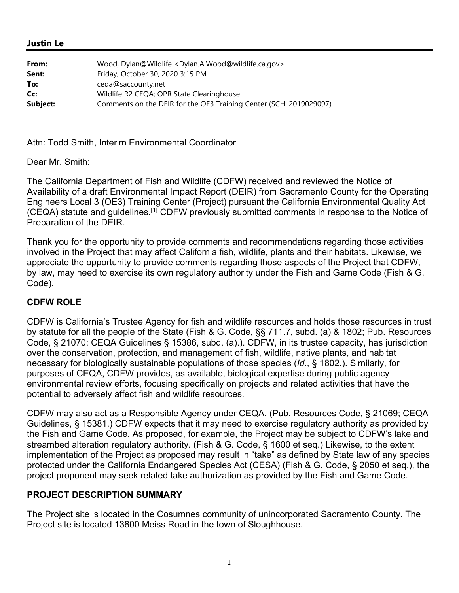#### **Justin Le**

| From:    | Wood, Dylan@Wildlife <dylan.a.wood@wildlife.ca.gov></dylan.a.wood@wildlife.ca.gov> |
|----------|------------------------------------------------------------------------------------|
| Sent:    | Friday, October 30, 2020 3:15 PM                                                   |
| To:      | cega@saccounty.net                                                                 |
| Cc:      | Wildlife R2 CEQA; OPR State Clearinghouse                                          |
| Subject: | Comments on the DEIR for the OE3 Training Center (SCH: 2019029097)                 |

Attn: Todd Smith, Interim Environmental Coordinator

Dear Mr. Smith:

The California Department of Fish and Wildlife (CDFW) received and reviewed the Notice of Availability of a draft Environmental Impact Report (DEIR) from Sacramento County for the Operating Engineers Local 3 (OE3) Training Center (Project) pursuant the California Environmental Quality Act (CEQA) statute and guidelines.[1] CDFW previously submitted comments in response to the Notice of Preparation of the DEIR.

Thank you for the opportunity to provide comments and recommendations regarding those activities involved in the Project that may affect California fish, wildlife, plants and their habitats. Likewise, we appreciate the opportunity to provide comments regarding those aspects of the Project that CDFW, by law, may need to exercise its own regulatory authority under the Fish and Game Code (Fish & G. Code).

#### **CDFW ROLE**

CDFW is California's Trustee Agency for fish and wildlife resources and holds those resources in trust by statute for all the people of the State (Fish & G. Code, §§ 711.7, subd. (a) & 1802; Pub. Resources Code, § 21070; CEQA Guidelines § 15386, subd. (a).). CDFW, in its trustee capacity, has jurisdiction over the conservation, protection, and management of fish, wildlife, native plants, and habitat necessary for biologically sustainable populations of those species (*Id.*, § 1802.). Similarly, for purposes of CEQA, CDFW provides, as available, biological expertise during public agency environmental review efforts, focusing specifically on projects and related activities that have the potential to adversely affect fish and wildlife resources.

CDFW may also act as a Responsible Agency under CEQA. (Pub. Resources Code, § 21069; CEQA Guidelines, § 15381.) CDFW expects that it may need to exercise regulatory authority as provided by the Fish and Game Code. As proposed, for example, the Project may be subject to CDFW's lake and streambed alteration regulatory authority. (Fish & G. Code, § 1600 et seq.) Likewise, to the extent implementation of the Project as proposed may result in "take" as defined by State law of any species protected under the California Endangered Species Act (CESA) (Fish & G. Code, § 2050 et seq.), the project proponent may seek related take authorization as provided by the Fish and Game Code.

#### **PROJECT DESCRIPTION SUMMARY**

The Project site is located in the Cosumnes community of unincorporated Sacramento County. The Project site is located 13800 Meiss Road in the town of Sloughhouse.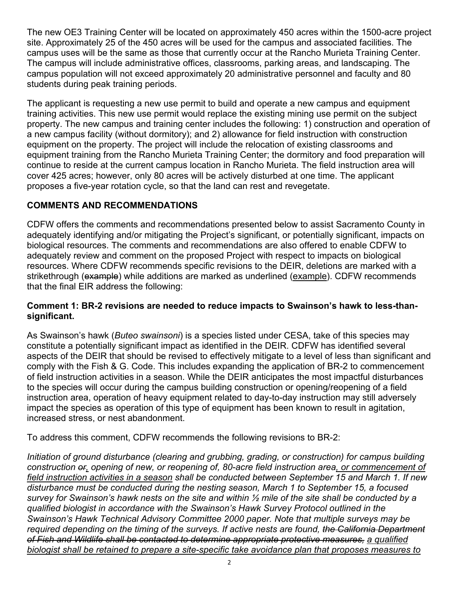The new OE3 Training Center will be located on approximately 450 acres within the 1500-acre project site. Approximately 25 of the 450 acres will be used for the campus and associated facilities. The campus uses will be the same as those that currently occur at the Rancho Murieta Training Center. The campus will include administrative offices, classrooms, parking areas, and landscaping. The campus population will not exceed approximately 20 administrative personnel and faculty and 80 students during peak training periods.

The applicant is requesting a new use permit to build and operate a new campus and equipment training activities. This new use permit would replace the existing mining use permit on the subject property. The new campus and training center includes the following: 1) construction and operation of a new campus facility (without dormitory); and 2) allowance for field instruction with construction equipment on the property. The project will include the relocation of existing classrooms and equipment training from the Rancho Murieta Training Center; the dormitory and food preparation will continue to reside at the current campus location in Rancho Murieta. The field instruction area will cover 425 acres; however, only 80 acres will be actively disturbed at one time. The applicant proposes a five-year rotation cycle, so that the land can rest and revegetate.

# **COMMENTS AND RECOMMENDATIONS**

CDFW offers the comments and recommendations presented below to assist Sacramento County in adequately identifying and/or mitigating the Project's significant, or potentially significant, impacts on biological resources. The comments and recommendations are also offered to enable CDFW to adequately review and comment on the proposed Project with respect to impacts on biological resources. Where CDFW recommends specific revisions to the DEIR, deletions are marked with a strikethrough (example) while additions are marked as underlined (example). CDFW recommends that the final EIR address the following:

### **Comment 1: BR-2 revisions are needed to reduce impacts to Swainson's hawk to less-thansignificant.**

As Swainson's hawk (*Buteo swainsoni*) is a species listed under CESA, take of this species may constitute a potentially significant impact as identified in the DEIR. CDFW has identified several aspects of the DEIR that should be revised to effectively mitigate to a level of less than significant and comply with the Fish & G. Code. This includes expanding the application of BR-2 to commencement of field instruction activities in a season. While the DEIR anticipates the most impactful disturbances to the species will occur during the campus building construction or opening/reopening of a field instruction area, operation of heavy equipment related to day-to-day instruction may still adversely impact the species as operation of this type of equipment has been known to result in agitation, increased stress, or nest abandonment.

To address this comment, CDFW recommends the following revisions to BR-2:

*Initiation of ground disturbance (clearing and grubbing, grading, or construction) for campus building construction or, opening of new, or reopening of, 80-acre field instruction area, or commencement of field instruction activities in a season shall be conducted between September 15 and March 1. If new disturbance must be conducted during the nesting season, March 1 to September 15, a focused survey for Swainson's hawk nests on the site and within ½ mile of the site shall be conducted by a qualified biologist in accordance with the Swainson's Hawk Survey Protocol outlined in the Swainson's Hawk Technical Advisory Committee 2000 paper. Note that multiple surveys may be required depending on the timing of the surveys. If active nests are found, the California Department of Fish and Wildlife shall be contacted to determine appropriate protective measures, a qualified biologist shall be retained to prepare a site-specific take avoidance plan that proposes measures to*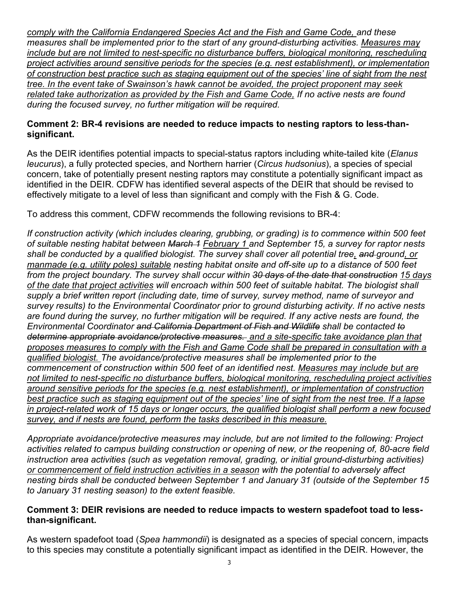*comply with the California Endangered Species Act and the Fish and Game Code, and these measures shall be implemented prior to the start of any ground-disturbing activities. Measures may include but are not limited to nest-specific no disturbance buffers, biological monitoring, rescheduling project activities around sensitive periods for the species (e.g. nest establishment), or implementation of construction best practice such as staging equipment out of the species' line of sight from the nest tree. In the event take of Swainson's hawk cannot be avoided, the project proponent may seek related take authorization as provided by the Fish and Game Code, If no active nests are found during the focused survey, no further mitigation will be required.* 

### **Comment 2: BR-4 revisions are needed to reduce impacts to nesting raptors to less-thansignificant.**

As the DEIR identifies potential impacts to special-status raptors including white-tailed kite (*Elanus leucurus*), a fully protected species, and Northern harrier (*Circus hudsonius*), a species of special concern, take of potentially present nesting raptors may constitute a potentially significant impact as identified in the DEIR. CDFW has identified several aspects of the DEIR that should be revised to effectively mitigate to a level of less than significant and comply with the Fish & G. Code.

To address this comment, CDFW recommends the following revisions to BR-4:

*If construction activity (which includes clearing, grubbing, or grading) is to commence within 500 feet of suitable nesting habitat between March 1 February 1 and September 15, a survey for raptor nests shall be conducted by a qualified biologist. The survey shall cover all potential tree, and ground, or manmade (e.g. utility poles) suitable nesting habitat onsite and off-site up to a distance of 500 feet from the project boundary. The survey shall occur within 30 days of the date that construction 15 days of the date that project activities will encroach within 500 feet of suitable habitat. The biologist shall supply a brief written report (including date, time of survey, survey method, name of surveyor and survey results) to the Environmental Coordinator prior to ground disturbing activity. If no active nests are found during the survey, no further mitigation will be required. If any active nests are found, the Environmental Coordinator and California Department of Fish and Wildlife shall be contacted to determine appropriate avoidance/protective measures. and a site-specific take avoidance plan that proposes measures to comply with the Fish and Game Code shall be prepared in consultation with a qualified biologist. The avoidance/protective measures shall be implemented prior to the commencement of construction within 500 feet of an identified nest. Measures may include but are not limited to nest-specific no disturbance buffers, biological monitoring, rescheduling project activities around sensitive periods for the species (e.g. nest establishment), or implementation of construction best practice such as staging equipment out of the species' line of sight from the nest tree. If a lapse in project-related work of 15 days or longer occurs, the qualified biologist shall perform a new focused survey, and if nests are found, perform the tasks described in this measure.* 

*Appropriate avoidance/protective measures may include, but are not limited to the following: Project activities related to campus building construction or opening of new, or the reopening of, 80-acre field instruction area activities (such as vegetation removal, grading, or initial ground-disturbing activities) or commencement of field instruction activities in a season with the potential to adversely affect nesting birds shall be conducted between September 1 and January 31 (outside of the September 15 to January 31 nesting season) to the extent feasible.* 

### **Comment 3: DEIR revisions are needed to reduce impacts to western spadefoot toad to lessthan-significant.**

As western spadefoot toad (*Spea hammondii*) is designated as a species of special concern, impacts to this species may constitute a potentially significant impact as identified in the DEIR. However, the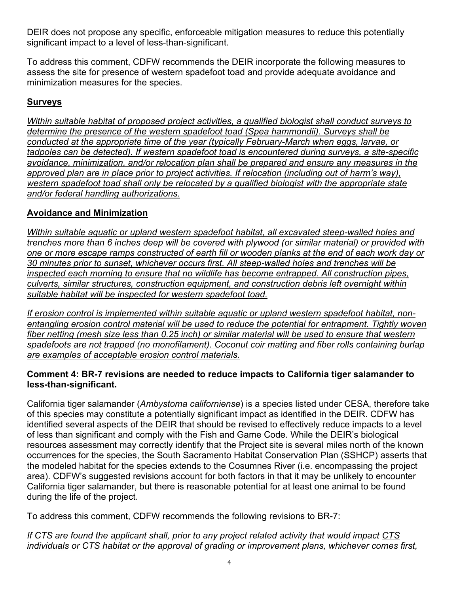DEIR does not propose any specific, enforceable mitigation measures to reduce this potentially significant impact to a level of less-than-significant.

To address this comment, CDFW recommends the DEIR incorporate the following measures to assess the site for presence of western spadefoot toad and provide adequate avoidance and minimization measures for the species.

# **Surveys**

*Within suitable habitat of proposed project activities, a qualified biologist shall conduct surveys to determine the presence of the western spadefoot toad (Spea hammondii). Surveys shall be conducted at the appropriate time of the year (typically February-March when eggs, larvae, or tadpoles can be detected). If western spadefoot toad is encountered during surveys, a site-specific avoidance, minimization, and/or relocation plan shall be prepared and ensure any measures in the approved plan are in place prior to project activities. If relocation (including out of harm's way), western spadefoot toad shall only be relocated by a qualified biologist with the appropriate state and/or federal handling authorizations.* 

# **Avoidance and Minimization**

*Within suitable aquatic or upland western spadefoot habitat, all excavated steep-walled holes and trenches more than 6 inches deep will be covered with plywood (or similar material) or provided with one or more escape ramps constructed of earth fill or wooden planks at the end of each work day or 30 minutes prior to sunset, whichever occurs first. All steep-walled holes and trenches will be inspected each morning to ensure that no wildlife has become entrapped. All construction pipes, culverts, similar structures, construction equipment, and construction debris left overnight within suitable habitat will be inspected for western spadefoot toad.* 

*If erosion control is implemented within suitable aquatic or upland western spadefoot habitat, nonentangling erosion control material will be used to reduce the potential for entrapment. Tightly woven fiber netting (mesh size less than 0.25 inch) or similar material will be used to ensure that western spadefoots are not trapped (no monofilament). Coconut coir matting and fiber rolls containing burlap are examples of acceptable erosion control materials.* 

### **Comment 4: BR-7 revisions are needed to reduce impacts to California tiger salamander to less-than-significant.**

California tiger salamander (*Ambystoma californiense*) is a species listed under CESA, therefore take of this species may constitute a potentially significant impact as identified in the DEIR. CDFW has identified several aspects of the DEIR that should be revised to effectively reduce impacts to a level of less than significant and comply with the Fish and Game Code. While the DEIR's biological resources assessment may correctly identify that the Project site is several miles north of the known occurrences for the species, the South Sacramento Habitat Conservation Plan (SSHCP) asserts that the modeled habitat for the species extends to the Cosumnes River (i.e. encompassing the project area). CDFW's suggested revisions account for both factors in that it may be unlikely to encounter California tiger salamander, but there is reasonable potential for at least one animal to be found during the life of the project.

To address this comment, CDFW recommends the following revisions to BR-7:

*If CTS are found the applicant shall, prior to any project related activity that would impact CTS individuals or CTS habitat or the approval of grading or improvement plans, whichever comes first,*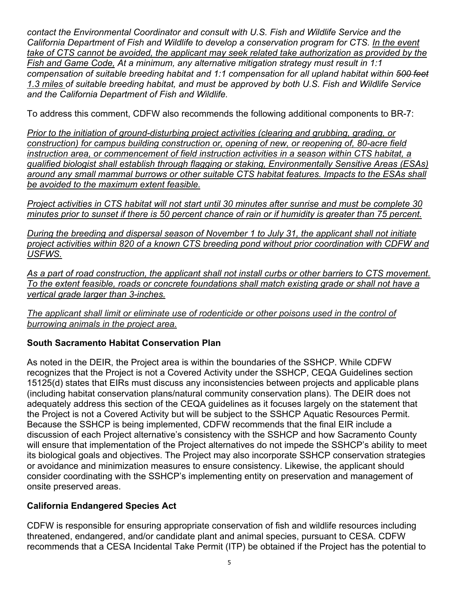*contact the Environmental Coordinator and consult with U.S. Fish and Wildlife Service and the California Department of Fish and Wildlife to develop a conservation program for CTS. In the event take of CTS cannot be avoided, the applicant may seek related take authorization as provided by the Fish and Game Code, At a minimum, any alternative mitigation strategy must result in 1:1 compensation of suitable breeding habitat and 1:1 compensation for all upland habitat within 500 feet 1.3 miles of suitable breeding habitat, and must be approved by both U.S. Fish and Wildlife Service and the California Department of Fish and Wildlife.* 

To address this comment, CDFW also recommends the following additional components to BR-7:

*Prior to the initiation of ground-disturbing project activities (clearing and grubbing, grading, or construction) for campus building construction or, opening of new, or reopening of, 80-acre field instruction area, or commencement of field instruction activities in a season within CTS habitat, a qualified biologist shall establish through flagging or staking, Environmentally Sensitive Areas (ESAs) around any small mammal burrows or other suitable CTS habitat features. Impacts to the ESAs shall be avoided to the maximum extent feasible.* 

*Project activities in CTS habitat will not start until 30 minutes after sunrise and must be complete 30 minutes prior to sunset if there is 50 percent chance of rain or if humidity is greater than 75 percent.* 

*During the breeding and dispersal season of November 1 to July 31, the applicant shall not initiate project activities within 820 of a known CTS breeding pond without prior coordination with CDFW and USFWS.*

*As a part of road construction, the applicant shall not install curbs or other barriers to CTS movement. To the extent feasible, roads or concrete foundations shall match existing grade or shall not have a vertical grade larger than 3-inches.* 

*The applicant shall limit or eliminate use of rodenticide or other poisons used in the control of burrowing animals in the project area.*

# **South Sacramento Habitat Conservation Plan**

As noted in the DEIR, the Project area is within the boundaries of the SSHCP. While CDFW recognizes that the Project is not a Covered Activity under the SSHCP, CEQA Guidelines section 15125(d) states that EIRs must discuss any inconsistencies between projects and applicable plans (including habitat conservation plans/natural community conservation plans). The DEIR does not adequately address this section of the CEQA guidelines as it focuses largely on the statement that the Project is not a Covered Activity but will be subject to the SSHCP Aquatic Resources Permit. Because the SSHCP is being implemented, CDFW recommends that the final EIR include a discussion of each Project alternative's consistency with the SSHCP and how Sacramento County will ensure that implementation of the Project alternatives do not impede the SSHCP's ability to meet its biological goals and objectives. The Project may also incorporate SSHCP conservation strategies or avoidance and minimization measures to ensure consistency. Likewise, the applicant should consider coordinating with the SSHCP's implementing entity on preservation and management of onsite preserved areas.

# **California Endangered Species Act**

CDFW is responsible for ensuring appropriate conservation of fish and wildlife resources including threatened, endangered, and/or candidate plant and animal species, pursuant to CESA. CDFW recommends that a CESA Incidental Take Permit (ITP) be obtained if the Project has the potential to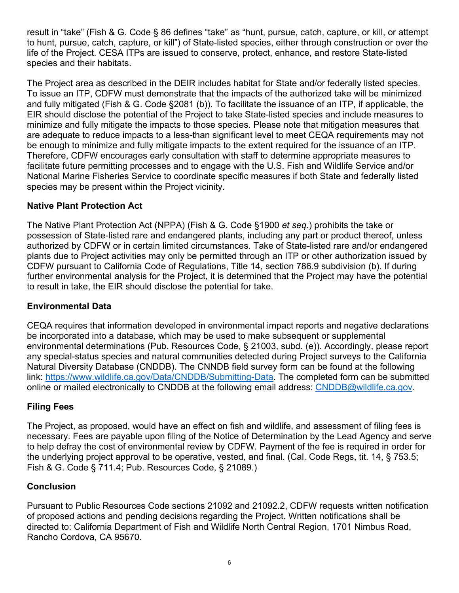result in "take" (Fish & G. Code § 86 defines "take" as "hunt, pursue, catch, capture, or kill, or attempt to hunt, pursue, catch, capture, or kill") of State-listed species, either through construction or over the life of the Project. CESA ITPs are issued to conserve, protect, enhance, and restore State-listed species and their habitats.

The Project area as described in the DEIR includes habitat for State and/or federally listed species. To issue an ITP, CDFW must demonstrate that the impacts of the authorized take will be minimized and fully mitigated (Fish & G. Code §2081 (b)). To facilitate the issuance of an ITP, if applicable, the EIR should disclose the potential of the Project to take State-listed species and include measures to minimize and fully mitigate the impacts to those species. Please note that mitigation measures that are adequate to reduce impacts to a less-than significant level to meet CEQA requirements may not be enough to minimize and fully mitigate impacts to the extent required for the issuance of an ITP. Therefore, CDFW encourages early consultation with staff to determine appropriate measures to facilitate future permitting processes and to engage with the U.S. Fish and Wildlife Service and/or National Marine Fisheries Service to coordinate specific measures if both State and federally listed species may be present within the Project vicinity.

### **Native Plant Protection Act**

The Native Plant Protection Act (NPPA) (Fish & G. Code §1900 *et seq*.) prohibits the take or possession of State-listed rare and endangered plants, including any part or product thereof, unless authorized by CDFW or in certain limited circumstances. Take of State-listed rare and/or endangered plants due to Project activities may only be permitted through an ITP or other authorization issued by CDFW pursuant to California Code of Regulations, Title 14, section 786.9 subdivision (b). If during further environmental analysis for the Project, it is determined that the Project may have the potential to result in take, the EIR should disclose the potential for take.

### **Environmental Data**

CEQA requires that information developed in environmental impact reports and negative declarations be incorporated into a database, which may be used to make subsequent or supplemental environmental determinations (Pub. Resources Code, § 21003, subd. (e)). Accordingly, please report any special-status species and natural communities detected during Project surveys to the California Natural Diversity Database (CNDDB). The CNNDB field survey form can be found at the following link: https://www.wildlife.ca.gov/Data/CNDDB/Submitting-Data. The completed form can be submitted online or mailed electronically to CNDDB at the following email address: CNDDB@wildlife.ca.gov.

## **Filing Fees**

The Project, as proposed, would have an effect on fish and wildlife, and assessment of filing fees is necessary. Fees are payable upon filing of the Notice of Determination by the Lead Agency and serve to help defray the cost of environmental review by CDFW. Payment of the fee is required in order for the underlying project approval to be operative, vested, and final. (Cal. Code Regs, tit. 14, § 753.5; Fish & G. Code § 711.4; Pub. Resources Code, § 21089.)

### **Conclusion**

Pursuant to Public Resources Code sections 21092 and 21092.2, CDFW requests written notification of proposed actions and pending decisions regarding the Project. Written notifications shall be directed to: California Department of Fish and Wildlife North Central Region, 1701 Nimbus Road, Rancho Cordova, CA 95670.